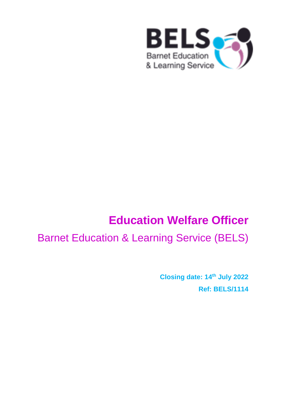

# **Education Welfare Officer**

# Barnet Education & Learning Service (BELS)

**Closing date: 14 th July 2022 Ref: BELS/1114**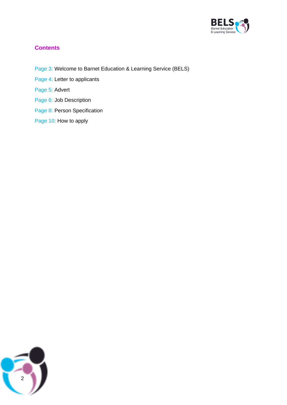

# **Contents**

- Page 3: Welcome to Barnet Education & Learning Service (BELS)
- Page 4: Letter to applicants
- Page 5: Advert
- Page 6: Job Description
- Page 8: Person Specification
- Page 10: How to apply

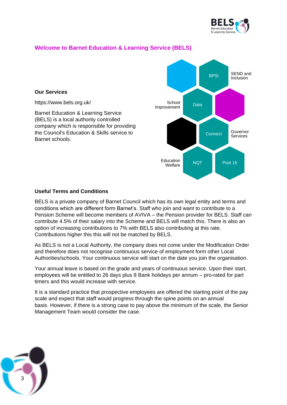

# **Welcome to Barnet Education & Learning Service (BELS)**

#### **Our Services**

https://www.bels.org.uk/

Barnet Education & Learning Service (BELS) is a local authority controlled company which is responsible for providing the Council's Education & Skills service to Barnet schools.



#### **Useful Terms and Conditions**

BELS is a private company of Barnet Council which has its own legal entity and terms and conditions which are different form Barnet's. Staff who join and want to contribute to a Pension Scheme will become members of AVIVA – the Pension provider for BELS. Staff can contribute 4.5% of their salary into the Scheme and BELS will match this. There is also an option of increasing contributions to 7% with BELS also contributing at this rate. Contributions higher this this will not be matched by BELS.

As BELS is not a Local Authority, the company does not come under the Modification Order and therefore does not recognise continuous service of employment form other Local Authorities/schools. Your continuous service will start on the date you join the organisation.

Your annual leave is based on the grade and years of continuous service. Upon their start, employees will be entitled to 26 days plus 8 Bank holidays per annum – pro-rated for part timers and this would increase with service.

It is a standard practice that prospective employees are offered the starting point of the pay scale and expect that staff would progress through the spine points on an annual basis. However, if there is a strong case to pay above the minimum of the scale, the Senior Management Team would consider the case.

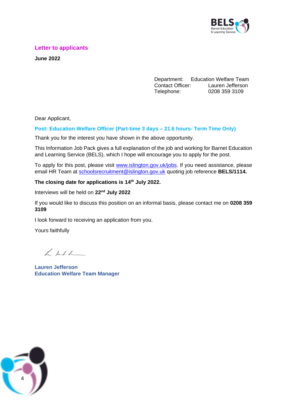

#### **Letter to applicants**

**June 2022**

Department: Education Welfare Team Contact Officer: Lauren Jefferson Telephone: 0208 359 3109

Dear Applicant,

#### **Post: Education Welfare Officer (Part-time 3 days – 21.6 hours- Term Time Only)**

Thank you for the interest you have shown in the above opportunity.

This Information Job Pack gives a full explanation of the job and working for Barnet Education and Learning Service (BELS), which I hope will encourage you to apply for the post.

To apply for this post, please visit [www.islington.gov.uk/jobs.](http://www.islington.gov.uk/jobs) If you need assistance, please email HR Team at [schoolsrecruitment@islington.gov.uk](mailto:schoolsrecruitment@islington.gov.uk) quoting job reference **BELS/1114.**

#### **The closing date for applications is 14 th July 2022.**

Interviews will be held on **22nd July 2022**

If you would like to discuss this position on an informal basis, please contact me on **0208 359 3109**

I look forward to receiving an application from you.

Yours faithfully

 $\angle$  hele

**Lauren Jefferson Education Welfare Team Manager** 

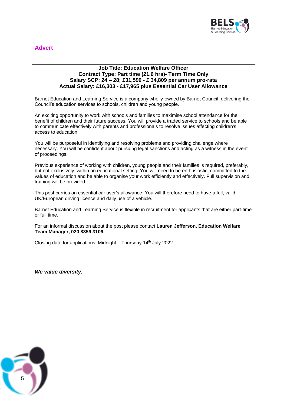

# **Advert**

#### **Job Title: Education Welfare Officer Contract Type: Part time (21.6 hrs)- Term Time Only Salary SCP: 24 – 28; £31,590 - £ 34,809 per annum pro-rata Actual Salary: £16,303 - £17,965 plus Essential Car User Allowance**

Barnet Education and Learning Service is a company wholly-owned by Barnet Council, delivering the Council's education services to schools, children and young people.

An exciting opportunity to work with schools and families to maximise school attendance for the benefit of children and their future success. You will provide a traded service to schools and be able to communicate effectively with parents and professionals to resolve issues affecting children's access to education.

You will be purposeful in identifying and resolving problems and providing challenge where necessary. You will be confident about pursuing legal sanctions and acting as a witness in the event of proceedings.

Previous experience of working with children, young people and their families is required, preferably, but not exclusively, within an educational setting. You will need to be enthusiastic, committed to the values of education and be able to organise your work efficiently and effectively. Full supervision and training will be provided.

This post carries an essential car user's allowance. You will therefore need to have a full, valid UK/European driving licence and daily use of a vehicle.

Barnet Education and Learning Service is flexible in recruitment for applicants that are either part-time or full time.

For an informal discussion about the post please contact **Lauren Jefferson, Education Welfare Team Manager, 020 8359 3109.**

Closing date for applications: Midnight – Thursday  $14<sup>th</sup>$  July 2022

*We value diversity.*

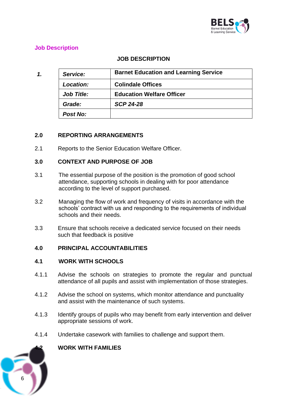

# **Job Description**

# **JOB DESCRIPTION**

| 1. | Service:          | <b>Barnet Education and Learning Service</b> |
|----|-------------------|----------------------------------------------|
|    | Location:         | <b>Colindale Offices</b>                     |
|    | <b>Job Title:</b> | <b>Education Welfare Officer</b>             |
|    | Grade:            | <b>SCP 24-28</b>                             |
|    | <b>Post No:</b>   |                                              |

#### **2.0 REPORTING ARRANGEMENTS**

2.1 Reports to the Senior Education Welfare Officer.

#### **3.0 CONTEXT AND PURPOSE OF JOB**

- 3.1 The essential purpose of the position is the promotion of good school attendance, supporting schools in dealing with for poor attendance according to the level of support purchased.
- 3.2 Managing the flow of work and frequency of visits in accordance with the schools' contract with us and responding to the requirements of individual schools and their needs.
- 3.3 Ensure that schools receive a dedicated service focused on their needs such that feedback is positive

#### **4.0 PRINCIPAL ACCOUNTABILITIES**

#### **4.1 WORK WITH SCHOOLS**

- 4.1.1 Advise the schools on strategies to promote the regular and punctual attendance of all pupils and assist with implementation of those strategies.
- 4.1.2 Advise the school on systems, which monitor attendance and punctuality and assist with the maintenance of such systems.
- 4.1.3 Identify groups of pupils who may benefit from early intervention and deliver appropriate sessions of work.
- 4.1.4 Undertake casework with families to challenge and support them.



#### **4.2 WORK WITH FAMILIES**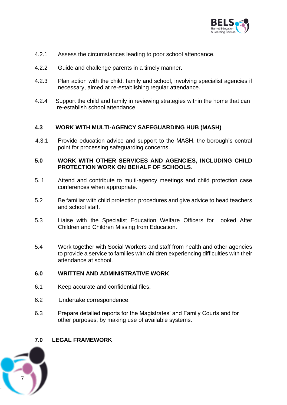

- 4.2.1 Assess the circumstances leading to poor school attendance.
- 4.2.2 Guide and challenge parents in a timely manner.
- 4.2.3 Plan action with the child, family and school, involving specialist agencies if necessary, aimed at re-establishing regular attendance.
- 4.2.4 Support the child and family in reviewing strategies within the home that can re-establish school attendance.

# **4.3 WORK WITH MULTI-AGENCY SAFEGUARDING HUB (MASH)**

4.3.1 Provide education advice and support to the MASH, the borough's central point for processing safeguarding concerns.

#### **5.0 WORK WITH OTHER SERVICES AND AGENCIES, INCLUDING CHILD PROTECTION WORK ON BEHALF OF SCHOOLS**.

- 5. 1 Attend and contribute to multi-agency meetings and child protection case conferences when appropriate.
- 5.2 Be familiar with child protection procedures and give advice to head teachers and school staff.
- 5.3 Liaise with the Specialist Education Welfare Officers for Looked After Children and Children Missing from Education.
- 5.4 Work together with Social Workers and staff from health and other agencies to provide a service to families with children experiencing difficulties with their attendance at school.

#### **6.0 WRITTEN AND ADMINISTRATIVE WORK**

- 6.1 Keep accurate and confidential files.
- 6.2 Undertake correspondence.
- 6.3 Prepare detailed reports for the Magistrates' and Family Courts and for other purposes, by making use of available systems.

#### **7.0 LEGAL FRAMEWORK**

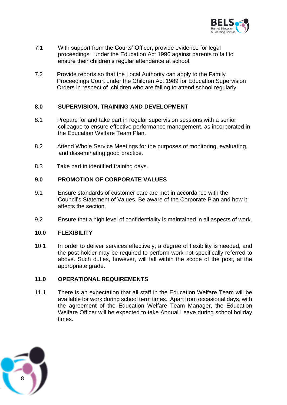

- 7.1 With support from the Courts' Officer, provide evidence for legal proceedings under the Education Act 1996 against parents to fail to ensure their children's regular attendance at school.
- 7.2 Provide reports so that the Local Authority can apply to the Family Proceedings Court under the Children Act 1989 for Education Supervision Orders in respect of children who are failing to attend school regularly

#### **8.0 SUPERVISION, TRAINING AND DEVELOPMENT**

- 8.1 Prepare for and take part in regular supervision sessions with a senior colleague to ensure effective performance management, as incorporated in the Education Welfare Team Plan.
- 8.2 Attend Whole Service Meetings for the purposes of monitoring, evaluating, and disseminating good practice.
- 8.3 Take part in identified training days.

#### **9.0 PROMOTION OF CORPORATE VALUES**

- 9.1 Ensure standards of customer care are met in accordance with the Council's Statement of Values. Be aware of the Corporate Plan and how it affects the section.
- 9.2 Ensure that a high level of confidentiality is maintained in all aspects of work.

#### **10.0 FLEXIBILITY**

10.1 In order to deliver services effectively, a degree of flexibility is needed, and the post holder may be required to perform work not specifically referred to above. Such duties, however, will fall within the scope of the post, at the appropriate grade.

# **11.0 OPERATIONAL REQUIREMENTS**

11.1 There is an expectation that all staff in the Education Welfare Team will be available for work during school term times. Apart from occasional days, with the agreement of the Education Welfare Team Manager, the Education Welfare Officer will be expected to take Annual Leave during school holiday times.

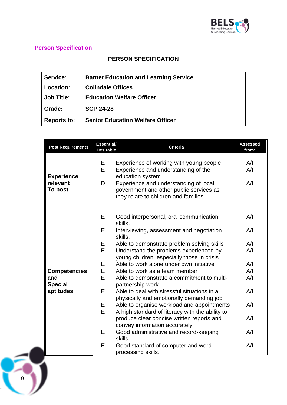

# **Person Specification**

 $\overline{9}$ 

# **PERSON SPECIFICATION**

| <b>Service:</b>    | <b>Barnet Education and Learning Service</b> |  |
|--------------------|----------------------------------------------|--|
| Location:          | <b>Colindale Offices</b>                     |  |
| <b>Job Title:</b>  | <b>Education Welfare Officer</b>             |  |
| Grade:             | <b>SCP 24-28</b>                             |  |
| <b>Reports to:</b> | <b>Senior Education Welfare Officer</b>      |  |

| <b>Post Requirements</b>                        | <b>Essential/</b><br><b>Desirable</b> | <b>Criteria</b>                                                                                                                                                                                                                | <b>Assessed</b><br>from: |
|-------------------------------------------------|---------------------------------------|--------------------------------------------------------------------------------------------------------------------------------------------------------------------------------------------------------------------------------|--------------------------|
| <b>Experience</b><br>relevant<br><b>To post</b> | E.<br>E<br>D                          | Experience of working with young people<br>Experience and understanding of the<br>education system<br>Experience and understanding of local<br>government and other public services as<br>they relate to children and families | A/I<br>A/I<br>A/I        |
|                                                 | E                                     | Good interpersonal, oral communication<br>skills.                                                                                                                                                                              | A/I                      |
|                                                 | E                                     | Interviewing, assessment and negotiation<br>skills.                                                                                                                                                                            | A/I                      |
|                                                 | Е                                     | Able to demonstrate problem solving skills                                                                                                                                                                                     | A/I                      |
|                                                 | E                                     | Understand the problems experienced by<br>young children, especially those in crisis                                                                                                                                           | A/I                      |
|                                                 | Ε                                     | Able to work alone under own initiative                                                                                                                                                                                        | A/I                      |
| <b>Competencies</b>                             | E                                     | Able to work as a team member                                                                                                                                                                                                  | A/I                      |
| and<br><b>Special</b>                           | E                                     | Able to demonstrate a commitment to multi-<br>partnership work                                                                                                                                                                 | A/I                      |
| aptitudes                                       | E                                     | Able to deal with stressful situations in a<br>physically and emotionally demanding job                                                                                                                                        | A/I                      |
|                                                 | Е<br>E                                | Able to organise workload and appointments<br>A high standard of literacy with the ability to                                                                                                                                  | A/I                      |
|                                                 |                                       | produce clear concise written reports and<br>convey information accurately                                                                                                                                                     | A/I                      |
|                                                 | E                                     | Good administrative and record-keeping<br>skills                                                                                                                                                                               | A/I                      |
|                                                 | E                                     | Good standard of computer and word<br>processing skills.                                                                                                                                                                       | A/I                      |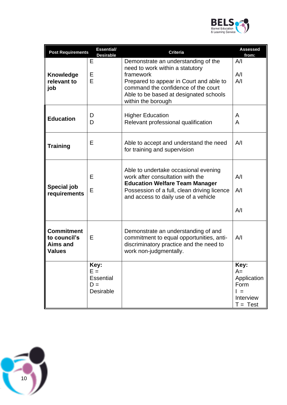

| <b>Post Requirements</b>                                              | <b>Essential/</b><br><b>Desirable</b>                          | <b>Criteria</b>                                                                                                                                                                                                                       | <b>Assessed</b><br>from:                                                          |
|-----------------------------------------------------------------------|----------------------------------------------------------------|---------------------------------------------------------------------------------------------------------------------------------------------------------------------------------------------------------------------------------------|-----------------------------------------------------------------------------------|
| <b>Knowledge</b><br>relevant to<br>job                                | Е<br>Ε<br>E                                                    | Demonstrate an understanding of the<br>need to work within a statutory<br>framework<br>Prepared to appear in Court and able to<br>command the confidence of the court<br>Able to be based at designated schools<br>within the borough | A/I<br>A/I<br>A/I                                                                 |
| <b>Education</b>                                                      | D<br>D                                                         | <b>Higher Education</b><br>Relevant professional qualification                                                                                                                                                                        | A<br>A                                                                            |
| <b>Training</b>                                                       | E                                                              | Able to accept and understand the need<br>for training and supervision                                                                                                                                                                | A/I                                                                               |
| <b>Special job</b><br>requirements                                    | Е<br>E                                                         | Able to undertake occasional evening<br>work after consultation with the<br><b>Education Welfare Team Manager</b><br>Possession of a full, clean driving licence<br>and access to daily use of a vehicle                              | A/I<br>A/I<br>A/I                                                                 |
| <b>Commitment</b><br>to council's<br><b>Aims and</b><br><b>Values</b> | Е                                                              | Demonstrate an understanding of and<br>commitment to equal opportunities, anti-<br>discriminatory practice and the need to<br>work non-judgmentally.                                                                                  | A/I                                                                               |
|                                                                       | Key:<br>$E =$<br><b>Essential</b><br>$D =$<br><b>Desirable</b> |                                                                                                                                                                                                                                       | Key:<br>$A=$<br>Application<br>Form<br>$\vert \vert =$<br>Interview<br>$T = Test$ |